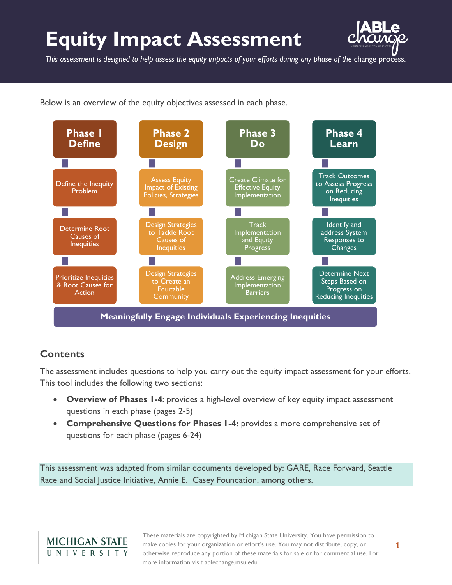# **Equity Impact Assessment**



*This assessment is designed to help assess the equity impacts of your efforts during any phase of the* change process.

Below is an overview of the equity objectives assessed in each phase.



### **Contents**

The assessment includes questions to help you carry out the equity impact assessment for your efforts. This tool includes the following two sections:

- **Overview of Phases 1-4**: provides a high-level overview of key equity impact assessment questions in each phase (pages 2-5)
- **Comprehensive Questions for Phases 1-4:** provides a more comprehensive set of questions for each phase (pages 6-24)

This assessment was adapted from similar documents developed by: GARE, Race Forward, Seattle Race and Social Justice Initiative, Annie E. Casey Foundation, among others.

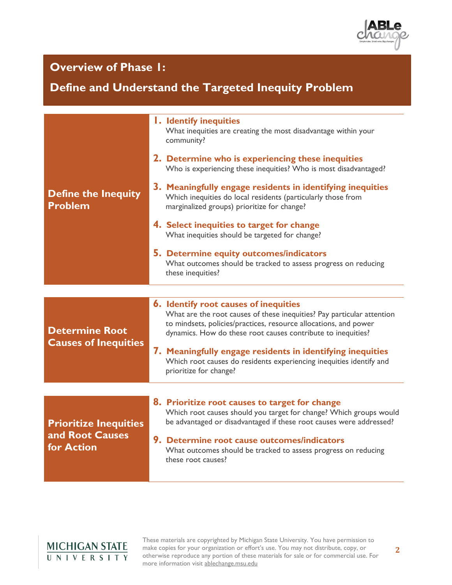

### **Overview of Phase 1:**

### **Define and Understand the Targeted Inequity Problem**

|                                                      | <b>1. Identify inequities</b><br>What inequities are creating the most disadvantage within your<br>community?                                                                                                                                              |  |  |
|------------------------------------------------------|------------------------------------------------------------------------------------------------------------------------------------------------------------------------------------------------------------------------------------------------------------|--|--|
|                                                      | 2. Determine who is experiencing these inequities<br>Who is experiencing these inequities? Who is most disadvantaged?                                                                                                                                      |  |  |
| <b>Define the Inequity</b><br><b>Problem</b>         | 3. Meaningfully engage residents in identifying inequities<br>Which inequities do local residents (particularly those from<br>marginalized groups) prioritize for change?                                                                                  |  |  |
|                                                      | 4. Select inequities to target for change<br>What inequities should be targeted for change?                                                                                                                                                                |  |  |
|                                                      | 5. Determine equity outcomes/indicators<br>What outcomes should be tracked to assess progress on reducing<br>these inequities?                                                                                                                             |  |  |
|                                                      |                                                                                                                                                                                                                                                            |  |  |
| <b>Determine Root</b><br><b>Causes of Inequities</b> | <b>6.</b> Identify root causes of inequities<br>What are the root causes of these inequities? Pay particular attention<br>to mindsets, policies/practices, resource allocations, and power<br>dynamics. How do these root causes contribute to inequities? |  |  |
|                                                      | 7. Meaningfully engage residents in identifying inequities<br>Which root causes do residents experiencing inequities identify and<br>prioritize for change?                                                                                                |  |  |
|                                                      |                                                                                                                                                                                                                                                            |  |  |
| <b>Prioritize Inequities</b>                         | 8. Prioritize root causes to target for change<br>Which root causes should you target for change? Which groups would<br>be advantaged or disadvantaged if these root causes were addressed?                                                                |  |  |
| and Root Causes<br>for Action                        | 9. Determine root cause outcomes/indicators<br>What outcomes should be tracked to assess progress on reducing<br>these root causes?                                                                                                                        |  |  |
|                                                      |                                                                                                                                                                                                                                                            |  |  |

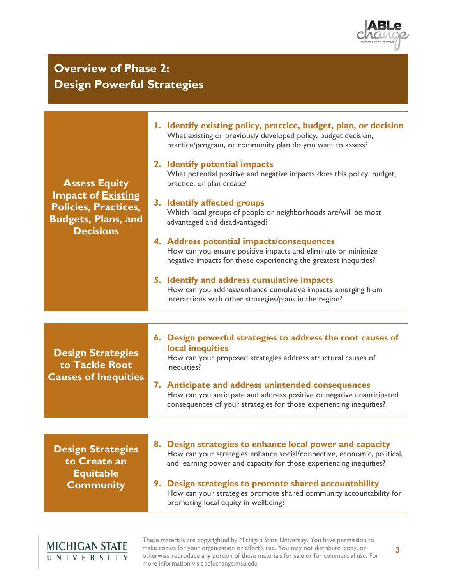

### **Overview of Phase 2: Design Powerful Strategies**

| <b>Assess Equity</b><br><b>Impact of Existing</b><br><b>Policies, Practices,</b><br><b>Budgets, Plans, and</b><br><b>Decisions</b> | 1. Identify existing policy, practice, budget, plan, or decision<br>What existing or previously developed policy, budget decision,<br>practice/program, or community plan do you want to assess?<br>2. Identify potential impacts<br>What potential positive and negative impacts does this policy, budget,<br>practice, or plan create?<br>3. Identify affected groups<br>Which local groups of people or neighborhoods are/will be most<br>advantaged and disadvantaged?<br>4. Address potential impacts/consequences<br>How can you ensure positive impacts and eliminate or minimize<br>negative impacts for those experiencing the greatest inequities?<br>5. Identify and address cumulative impacts<br>How can you address/enhance cumulative impacts emerging from<br>interactions with other strategies/plans in the region? |
|------------------------------------------------------------------------------------------------------------------------------------|---------------------------------------------------------------------------------------------------------------------------------------------------------------------------------------------------------------------------------------------------------------------------------------------------------------------------------------------------------------------------------------------------------------------------------------------------------------------------------------------------------------------------------------------------------------------------------------------------------------------------------------------------------------------------------------------------------------------------------------------------------------------------------------------------------------------------------------|
| <b>Design Strategies</b><br>to Tackle Root<br><b>Causes of Inequities</b>                                                          | 6. Design powerful strategies to address the root causes of<br>local inequities<br>How can your proposed strategies address structural causes of<br>inequities?<br>7. Anticipate and address unintended consequences<br>How can you anticipate and address positive or negative unanticipated<br>consequences of your strategies for those experiencing inequities?                                                                                                                                                                                                                                                                                                                                                                                                                                                                   |
| <b>Design Strategies</b><br>to Create an<br><b>Equitable</b><br><b>Community</b>                                                   | 8. Design strategies to enhance local power and capacity<br>How can your strategies enhance social/connective, economic, political,<br>and learning power and capacity for those experiencing inequities?<br>9. Design strategies to promote shared accountability<br>How can your strategies promote shared community accountability for<br>promoting local equity in wellbeing?                                                                                                                                                                                                                                                                                                                                                                                                                                                     |

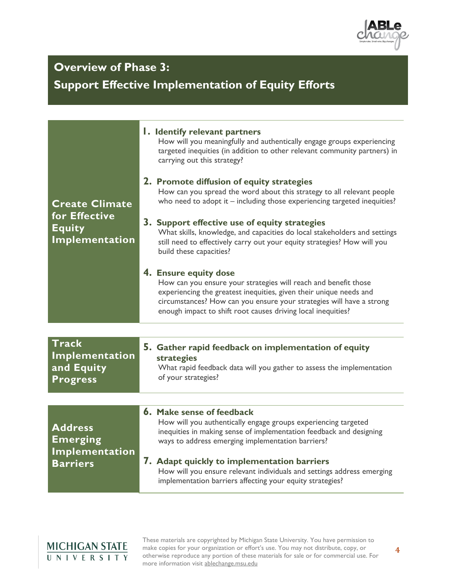

### **Overview of Phase 3:**

**Support Effective Implementation of Equity Efforts**

| I. Identify relevant partners<br>How will you meaningfully and authentically engage groups experiencing<br>targeted inequities (in addition to other relevant community partners) in<br>carrying out this strategy?<br>2. Promote diffusion of equity strategies<br>How can you spread the word about this strategy to all relevant people<br>who need to adopt it - including those experiencing targeted inequities?<br>3. Support effective use of equity strategies<br>What skills, knowledge, and capacities do local stakeholders and settings<br>still need to effectively carry out your equity strategies? How will you<br>build these capacities?<br>4. Ensure equity dose<br>How can you ensure your strategies will reach and benefit those<br>experiencing the greatest inequities, given their unique needs and<br>circumstances? How can you ensure your strategies will have a strong<br>enough impact to shift root causes driving local inequities? |
|-----------------------------------------------------------------------------------------------------------------------------------------------------------------------------------------------------------------------------------------------------------------------------------------------------------------------------------------------------------------------------------------------------------------------------------------------------------------------------------------------------------------------------------------------------------------------------------------------------------------------------------------------------------------------------------------------------------------------------------------------------------------------------------------------------------------------------------------------------------------------------------------------------------------------------------------------------------------------|
| 5. Gather rapid feedback on implementation of equity<br>strategies<br>What rapid feedback data will you gather to assess the implementation<br>of your strategies?                                                                                                                                                                                                                                                                                                                                                                                                                                                                                                                                                                                                                                                                                                                                                                                                    |
|                                                                                                                                                                                                                                                                                                                                                                                                                                                                                                                                                                                                                                                                                                                                                                                                                                                                                                                                                                       |
| 6. Make sense of feedback<br>How will you authentically engage groups experiencing targeted<br>inequities in making sense of implementation feedback and designing<br>ways to address emerging implementation barriers?<br>7. Adapt quickly to implementation barriers<br>How will you ensure relevant individuals and settings address emerging<br>implementation barriers affecting your equity strategies?                                                                                                                                                                                                                                                                                                                                                                                                                                                                                                                                                         |
|                                                                                                                                                                                                                                                                                                                                                                                                                                                                                                                                                                                                                                                                                                                                                                                                                                                                                                                                                                       |

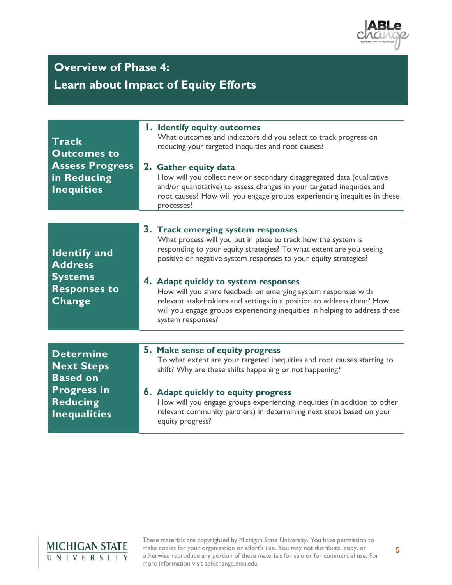

# **Overview of Phase 4:**

### **Learn about Impact of Equity Efforts**

| <b>Track</b><br><b>Outcomes to</b><br><b>Assess Progress</b><br>in Reducing<br><b>Inequities</b>                         | <b>1. Identify equity outcomes</b><br>What outcomes and indicators did you select to track progress on<br>reducing your targeted inequities and root causes?<br>2. Gather equity data<br>How will you collect new or secondary disaggregated data (qualitative<br>and/or quantitative) to assess changes in your targeted inequities and<br>root causes? How will you engage groups experiencing inequities in these<br>processes?                                                                                                  |
|--------------------------------------------------------------------------------------------------------------------------|-------------------------------------------------------------------------------------------------------------------------------------------------------------------------------------------------------------------------------------------------------------------------------------------------------------------------------------------------------------------------------------------------------------------------------------------------------------------------------------------------------------------------------------|
|                                                                                                                          |                                                                                                                                                                                                                                                                                                                                                                                                                                                                                                                                     |
| <b>Identify and</b><br><b>Address</b><br><b>Systems</b><br><b>Responses to</b><br>Change                                 | 3. Track emerging system responses<br>What process will you put in place to track how the system is<br>responding to your equity strategies? To what extent are you seeing<br>positive or negative system responses to your equity strategies?<br>4. Adapt quickly to system responses<br>How will you share feedback on emerging system responses with<br>relevant stakeholders and settings in a position to address them? How<br>will you engage groups experiencing inequities in helping to address these<br>system responses? |
|                                                                                                                          |                                                                                                                                                                                                                                                                                                                                                                                                                                                                                                                                     |
|                                                                                                                          |                                                                                                                                                                                                                                                                                                                                                                                                                                                                                                                                     |
| <b>Determine</b><br><b>Next Steps</b><br><b>Based on</b><br><b>Progress in</b><br><b>Reducing</b><br><b>Inequalities</b> | 5. Make sense of equity progress<br>To what extent are your targeted inequities and root causes starting to<br>shift? Why are these shifts happening or not happening?                                                                                                                                                                                                                                                                                                                                                              |
|                                                                                                                          | <b>6.</b> Adapt quickly to equity progress<br>How will you engage groups experiencing inequities (in addition to other<br>relevant community partners) in determining next steps based on your<br>equity progress?                                                                                                                                                                                                                                                                                                                  |

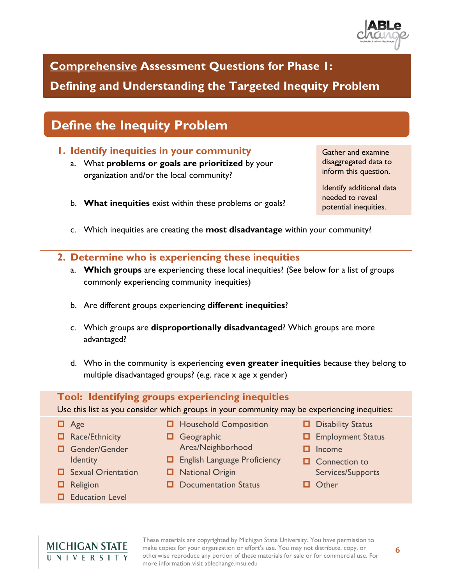

**Comprehensive Assessment Questions for Phase 1:** 

**Defining and Understanding the Targeted Inequity Problem**

# **Define the Inequity Problem**

### **1. Identify inequities in your community**

- a. What **problems or goals are prioritized** by your organization and/or the local community?
- Gather and examine disaggregated data to inform this question.

Identify additional data needed to reveal potential inequities.

- b. **What inequities** exist within these problems or goals?
- c. Which inequities are creating the **most disadvantage** within your community?

#### **2. Determine who is experiencing these inequities**

- a. **Which groups** are experiencing these local inequities? (See below for a list of groups commonly experiencing community inequities)
- b. Are different groups experiencing **different inequities**?
- c. Which groups are **disproportionally disadvantaged**? Which groups are more advantaged?
- d. Who in the community is experiencing **even greater inequities** because they belong to multiple disadvantaged groups? (e.g. race x age x gender)

#### **Tool: Identifying groups experiencing inequities**

Use this list as you consider which groups in your community may be experiencing inequities:

- D Age
- Race/Ethnicity
- Gender/Gender **Identity**
- $\Box$  Sexual Orientation
- **D** Religion
- **Education Level**
- $\Box$  Household Composition
- **O** Geographic Area/Neighborhood
- **English Language Proficiency**
- $\Box$  National Origin
- $\Box$  Documentation Status
- Disability Status
- $\Box$  Employment Status
- $\Box$  Income
- **Q** Connection to Services/Supports
- **D** Other

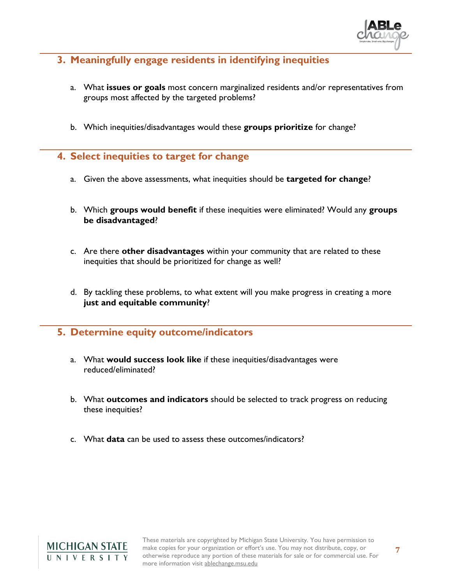

### **3. Meaningfully engage residents in identifying inequities**

- a. What **issues or goals** most concern marginalized residents and/or representatives from groups most affected by the targeted problems?
- b. Which inequities/disadvantages would these **groups prioritize** for change?
- **4. Select inequities to target for change** 
	- a. Given the above assessments, what inequities should be **targeted for change**?
	- b. Which **groups would benefit** if these inequities were eliminated? Would any **groups be disadvantaged**?
	- c. Are there **other disadvantages** within your community that are related to these inequities that should be prioritized for change as well?
	- d. By tackling these problems, to what extent will you make progress in creating a more **just and equitable community**?

#### **5. Determine equity outcome/indicators**

- a. What **would success look like** if these inequities/disadvantages were reduced/eliminated?
- b. What **outcomes and indicators** should be selected to track progress on reducing these inequities?
- c. What **data** can be used to assess these outcomes/indicators?

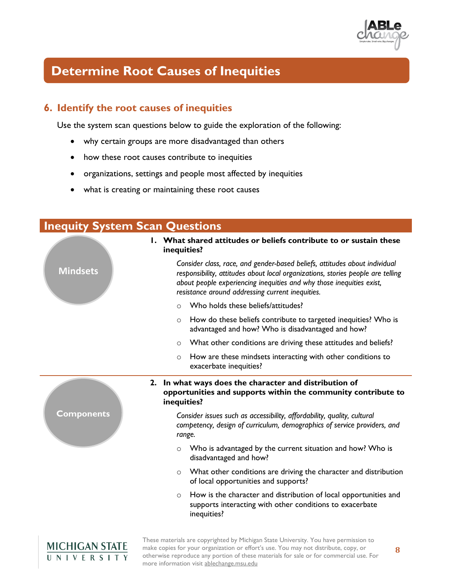

# **Determine Root Causes of Inequities**

### **6. Identify the root causes of inequities**

Use the system scan questions below to guide the exploration of the following:

- why certain groups are more disadvantaged than others
- how these root causes contribute to inequities
- organizations, settings and people most affected by inequities
- what is creating or maintaining these root causes

| <b>Inequity System Scan Questions</b> |                                                                                                                                                                                                                                                                                           |  |  |  |
|---------------------------------------|-------------------------------------------------------------------------------------------------------------------------------------------------------------------------------------------------------------------------------------------------------------------------------------------|--|--|--|
|                                       | I. What shared attitudes or beliefs contribute to or sustain these<br>inequities?                                                                                                                                                                                                         |  |  |  |
| <b>Mindsets</b>                       | Consider class, race, and gender-based beliefs, attitudes about individual<br>responsibility, attitudes about local organizations, stories people are telling<br>about people experiencing inequities and why those inequities exist,<br>resistance around addressing current inequities. |  |  |  |
|                                       | Who holds these beliefs/attitudes?<br>$\Omega$                                                                                                                                                                                                                                            |  |  |  |
|                                       | How do these beliefs contribute to targeted inequities? Who is<br>$\circ$<br>advantaged and how? Who is disadvantaged and how?                                                                                                                                                            |  |  |  |
|                                       | What other conditions are driving these attitudes and beliefs?<br>$\circ$                                                                                                                                                                                                                 |  |  |  |
|                                       | How are these mindsets interacting with other conditions to<br>O<br>exacerbate inequities?                                                                                                                                                                                                |  |  |  |
|                                       | 2. In what ways does the character and distribution of<br>opportunities and supports within the community contribute to<br>inequities?                                                                                                                                                    |  |  |  |
| <b>Components</b>                     | Consider issues such as accessibility, affordability, quality, cultural<br>competency, design of curriculum, demographics of service providers, and<br>range.                                                                                                                             |  |  |  |
|                                       | Who is advantaged by the current situation and how? Who is<br>$\circ$<br>disadvantaged and how?                                                                                                                                                                                           |  |  |  |
|                                       | What other conditions are driving the character and distribution<br>$\circ$<br>of local opportunities and supports?                                                                                                                                                                       |  |  |  |
|                                       | How is the character and distribution of local opportunities and<br>$\circ$<br>supports interacting with other conditions to exacerbate<br>inequities?                                                                                                                                    |  |  |  |
| <b>MICHIGAN STATE</b>                 | These materials are copyrighted by Michigan State University. You have permission to<br>make copies for your organization or effort's use. You may not distribute, copy, or<br>8                                                                                                          |  |  |  |

more information visit ablechange.msu.edu

UNIVERSITY

otherwise reproduce any portion of these materials for sale or for commercial use. For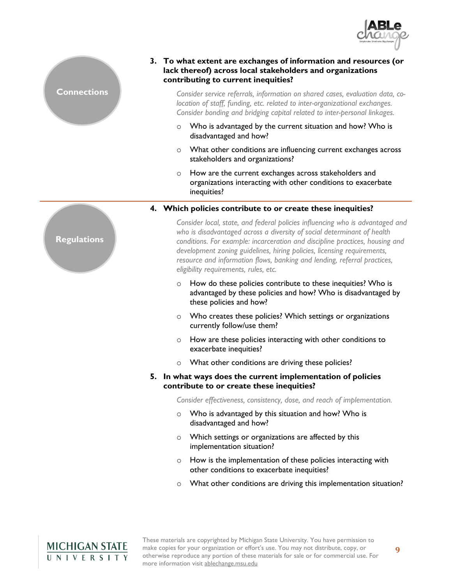



#### **3. To what extent are exchanges of information and resources (or lack thereof) across local stakeholders and organizations contributing to current inequities?**

*Consider service referrals, information on shared cases, evaluation data, colocation of staff, funding, etc. related to inter-organizational exchanges. Consider bonding and bridging capital related to inter-personal linkages.*

- o Who is advantaged by the current situation and how? Who is disadvantaged and how?
- o What other conditions are influencing current exchanges across stakeholders and organizations?
- o How are the current exchanges across stakeholders and organizations interacting with other conditions to exacerbate inequities?

#### **4. Which policies contribute to or create these inequities?**

*Consider local, state, and federal policies influencing who is advantaged and who is disadvantaged across a diversity of social determinant of health conditions. For example: incarceration and discipline practices, housing and development zoning guidelines, hiring policies, licensing requirements, resource and information flows, banking and lending, referral practices, eligibility requirements, rules, etc.*

- o How do these policies contribute to these inequities? Who is advantaged by these policies and how? Who is disadvantaged by these policies and how?
- o Who creates these policies? Which settings or organizations currently follow/use them?
- o How are these policies interacting with other conditions to exacerbate inequities?
- o What other conditions are driving these policies?

#### **5. In what ways does the current implementation of policies contribute to or create these inequities?**

*Consider effectiveness, consistency, dose, and reach of implementation.*

- o Who is advantaged by this situation and how? Who is disadvantaged and how?
- o Which settings or organizations are affected by this implementation situation?
- o How is the implementation of these policies interacting with other conditions to exacerbate inequities?
- o What other conditions are driving this implementation situation?



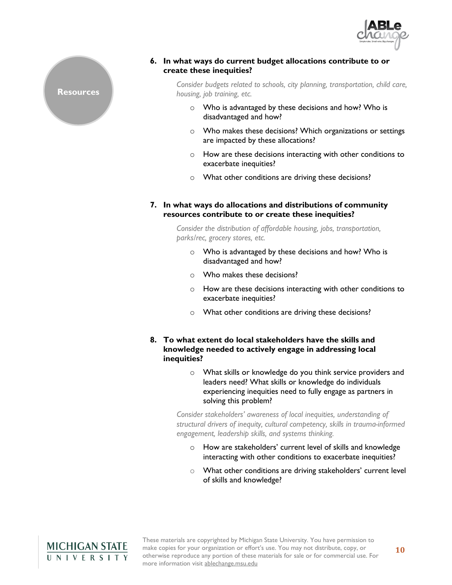

#### **6. In what ways do current budget allocations contribute to or create these inequities?**

*Consider budgets related to schools, city planning, transportation, child care, housing, job training, etc.*

- o Who is advantaged by these decisions and how? Who is disadvantaged and how?
- o Who makes these decisions? Which organizations or settings are impacted by these allocations?
- o How are these decisions interacting with other conditions to exacerbate inequities?
- o What other conditions are driving these decisions?
- **7. In what ways do allocations and distributions of community resources contribute to or create these inequities?**

*Consider the distribution of affordable housing, jobs, transportation, parks/rec, grocery stores, etc.*

- o Who is advantaged by these decisions and how? Who is disadvantaged and how?
- o Who makes these decisions?
- o How are these decisions interacting with other conditions to exacerbate inequities?
- o What other conditions are driving these decisions?
- **8. To what extent do local stakeholders have the skills and knowledge needed to actively engage in addressing local inequities?** 
	- o What skills or knowledge do you think service providers and leaders need? What skills or knowledge do individuals experiencing inequities need to fully engage as partners in solving this problem?

*Consider stakeholders' awareness of local inequities, understanding of structural drivers of inequity, cultural competency, skills in trauma-informed engagement, leadership skills, and systems thinking.*

- o How are stakeholders' current level of skills and knowledge interacting with other conditions to exacerbate inequities?
- o What other conditions are driving stakeholders' current level of skills and knowledge?



**Resources**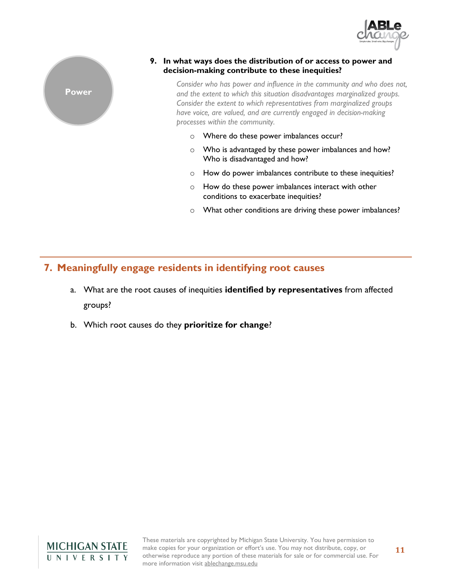



#### **9. In what ways does the distribution of or access to power and decision-making contribute to these inequities?**

*Consider who has power and influence in the community and who does not, and the extent to which this situation disadvantages marginalized groups. Consider the extent to which representatives from marginalized groups have voice, are valued, and are currently engaged in decision-making processes within the community.*

- o Where do these power imbalances occur?
- o Who is advantaged by these power imbalances and how? Who is disadvantaged and how?
- o How do power imbalances contribute to these inequities?
- o How do these power imbalances interact with other conditions to exacerbate inequities?
- o What other conditions are driving these power imbalances?

### **7. Meaningfully engage residents in identifying root causes**

- a. What are the root causes of inequities **identified by representatives** from affected groups?
- b. Which root causes do they **prioritize for change**?

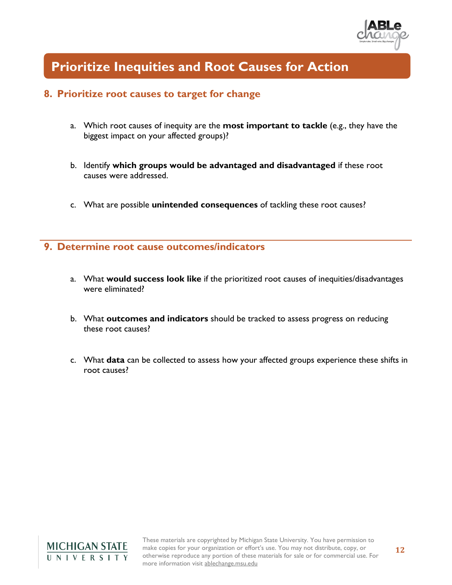

### **Prioritize Inequities and Root Causes for Action**

#### **8. Prioritize root causes to target for change**

- a. Which root causes of inequity are the **most important to tackle** (e.g., they have the biggest impact on your affected groups)?
- b. Identify **which groups would be advantaged and disadvantaged** if these root causes were addressed.
- c. What are possible **unintended consequences** of tackling these root causes?

#### **9. Determine root cause outcomes/indicators**

- a. What **would success look like** if the prioritized root causes of inequities/disadvantages were eliminated?
- b. What **outcomes and indicators** should be tracked to assess progress on reducing these root causes?
- c. What **data** can be collected to assess how your affected groups experience these shifts in root causes?

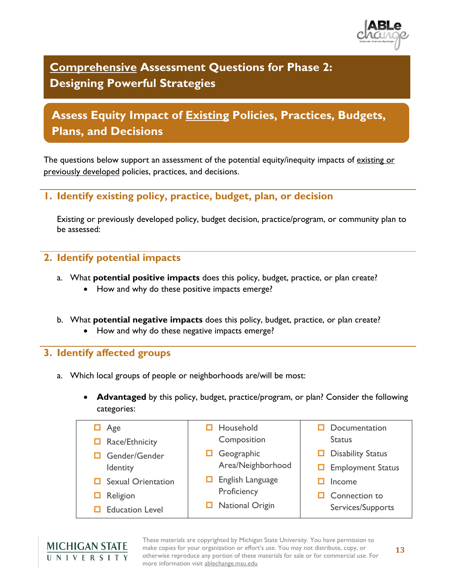

**Comprehensive Assessment Questions for Phase 2: Designing Powerful Strategies**

### **Assess Equity Impact of Existing Policies, Practices, Budgets, Plans, and Decisions**

The questions below support an assessment of the potential equity/inequity impacts of existing or previously developed policies, practices, and decisions.

#### **1. Identify existing policy, practice, budget, plan, or decision**

Existing or previously developed policy, budget decision, practice/program, or community plan to be assessed:

#### **2. Identify potential impacts**

- a. What **potential positive impacts** does this policy, budget, practice, or plan create?
	- How and why do these positive impacts emerge?
- b. What **potential negative impacts** does this policy, budget, practice, or plan create?
	- How and why do these negative impacts emerge?

#### **3. Identify affected groups**

- a. Which local groups of people or neighborhoods are/will be most:
	- **Advantaged** by this policy, budget, practice/program, or plan? Consider the following categories:

| Age<br>$\Box$ Race/Ethnicity                                         | Household<br>О<br>Composition                                         | Documentation<br><b>Status</b>                            |
|----------------------------------------------------------------------|-----------------------------------------------------------------------|-----------------------------------------------------------|
| Gender/Gender<br>Identity                                            | Geographic<br>Area/Neighborhood                                       | <b>Disability Status</b><br><b>Employment Status</b><br>О |
| <b>Sexual Orientation</b><br>Religion<br>ப<br><b>Education Level</b> | $\Box$ English Language<br>Proficiency<br><b>National Origin</b><br>ப | Income<br>Connection to<br>Services/Supports              |

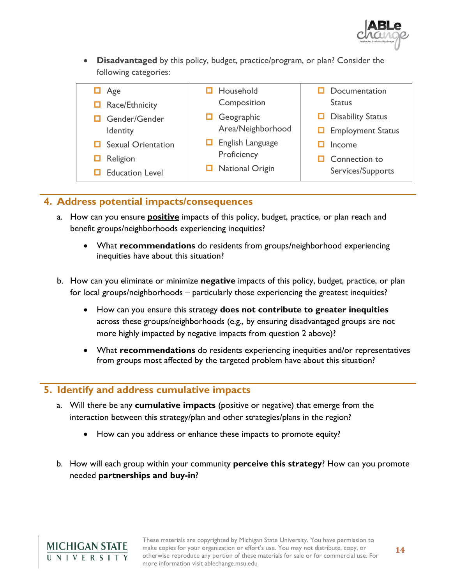

• **Disadvantaged** by this policy, budget, practice/program, or plan? Consider the following categories:

| $\Box$ Age                | Household                   | Documentation            |
|---------------------------|-----------------------------|--------------------------|
| $\Box$ Race/Ethnicity     | Composition                 | <b>Status</b>            |
| Gender/Gender             | Geographic                  | <b>Disability Status</b> |
| Identity                  | Area/Neighborhood           | $\Box$ Employment Status |
| $\Box$ Sexual Orientation | $\Box$ English Language     | Income                   |
| $\Box$ Religion           | Proficiency                 | Connection to            |
| $\Box$ Education Level    | <b>National Origin</b><br>ப | Services/Supports        |
|                           |                             |                          |

#### **4. Address potential impacts/consequences**

- a. How can you ensure **positive** impacts of this policy, budget, practice, or plan reach and benefit groups/neighborhoods experiencing inequities?
	- What **recommendations** do residents from groups/neighborhood experiencing inequities have about this situation?
- b. How can you eliminate or minimize **negative** impacts of this policy, budget, practice, or plan for local groups/neighborhoods – particularly those experiencing the greatest inequities?
	- How can you ensure this strategy **does not contribute to greater inequities** across these groups/neighborhoods (e.g., by ensuring disadvantaged groups are not more highly impacted by negative impacts from question 2 above)?
	- What **recommendations** do residents experiencing inequities and/or representatives from groups most affected by the targeted problem have about this situation?

#### **5. Identify and address cumulative impacts**

- a. Will there be any **cumulative impacts** (positive or negative) that emerge from the interaction between this strategy/plan and other strategies/plans in the region?
	- How can you address or enhance these impacts to promote equity?
- b. How will each group within your community **perceive this strategy**? How can you promote needed **partnerships and buy-in**?

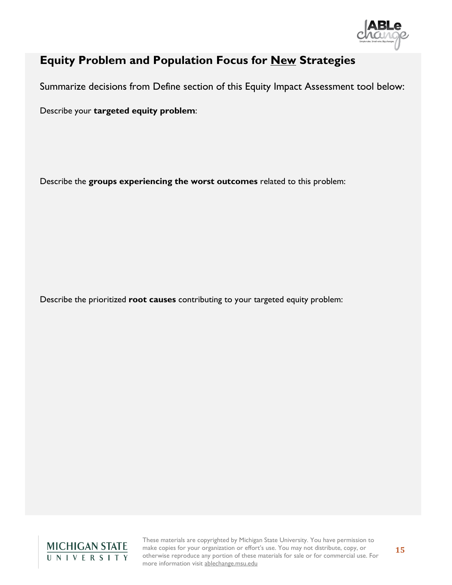

### **Equity Problem and Population Focus for New Strategies**

Summarize decisions from Define section of this Equity Impact Assessment tool below:

Describe your **targeted equity problem**:

Describe the **groups experiencing the worst outcomes** related to this problem:

Describe the prioritized **root causes** contributing to your targeted equity problem:

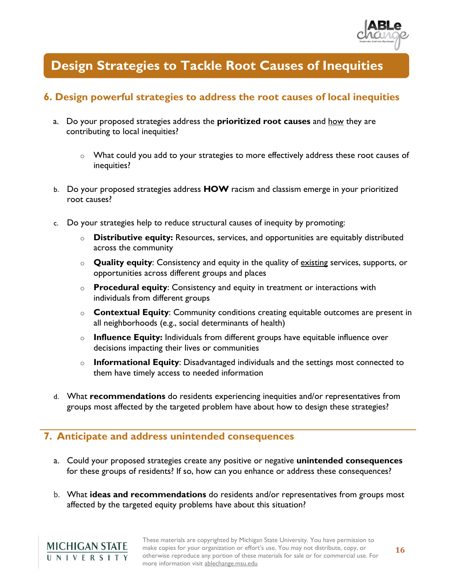

### **Design Strategies to Tackle Root Causes of Inequities**

### **6. Design powerful strategies to address the root causes of local inequities**

- a. Do your proposed strategies address the **prioritized root causes** and how they are contributing to local inequities?
	- o What could you add to your strategies to more effectively address these root causes of inequities?
- b. Do your proposed strategies address **HOW** racism and classism emerge in your prioritized root causes?
- c. Do your strategies help to reduce structural causes of inequity by promoting:
	- o **Distributive equity:** Resources, services, and opportunities are equitably distributed across the community
	- o **Quality equity**: Consistency and equity in the quality of existing services, supports, or opportunities across different groups and places
	- o **Procedural equity**: Consistency and equity in treatment or interactions with individuals from different groups
	- o **Contextual Equity**: Community conditions creating equitable outcomes are present in all neighborhoods (e.g., social determinants of health)
	- o **Influence Equity:** Individuals from different groups have equitable influence over decisions impacting their lives or communities
	- o **Informational Equity**: Disadvantaged individuals and the settings most connected to them have timely access to needed information
- d. What **recommendations** do residents experiencing inequities and/or representatives from groups most affected by the targeted problem have about how to design these strategies?

#### **7. Anticipate and address unintended consequences**

- a. Could your proposed strategies create any positive or negative **unintended consequences** for these groups of residents? If so, how can you enhance or address these consequences?
- b. What **ideas and recommendations** do residents and/or representatives from groups most affected by the targeted equity problems have about this situation?

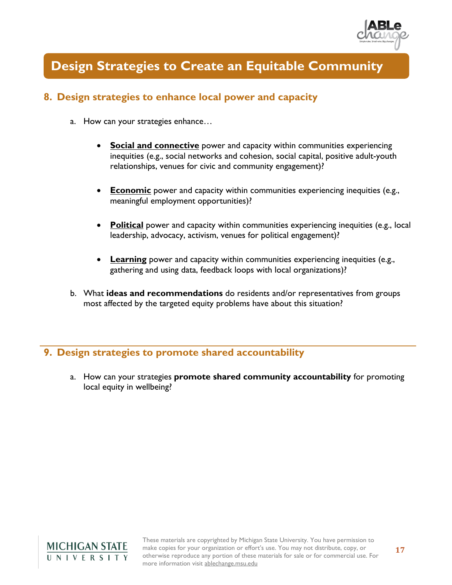

### **Design Strategies to Create an Equitable Community**

### **8. Design strategies to enhance local power and capacity**

- a. How can your strategies enhance…
	- **Social and connective** power and capacity within communities experiencing inequities (e.g., social networks and cohesion, social capital, positive adult-youth relationships, venues for civic and community engagement)?
	- **Economic** power and capacity within communities experiencing inequities (e.g., meaningful employment opportunities)?
	- **Political** power and capacity within communities experiencing inequities (e.g., local leadership, advocacy, activism, venues for political engagement)?
	- **Learning** power and capacity within communities experiencing inequities (e.g., gathering and using data, feedback loops with local organizations)?
- b. What **ideas and recommendations** do residents and/or representatives from groups most affected by the targeted equity problems have about this situation?

#### **9. Design strategies to promote shared accountability**

a. How can your strategies **promote shared community accountability** for promoting local equity in wellbeing?

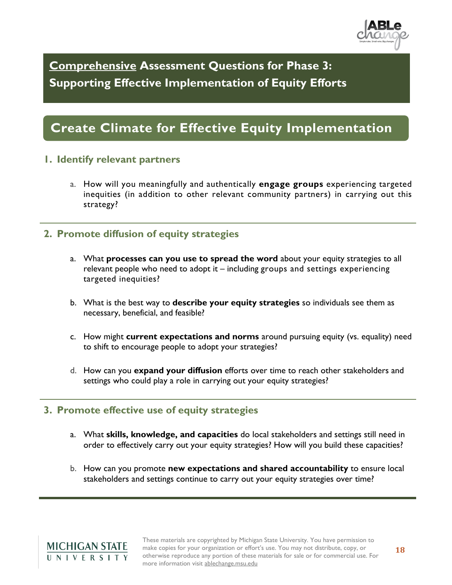

**Comprehensive Assessment Questions for Phase 3: Supporting Effective Implementation of Equity Efforts**

# **Create Climate for Effective Equity Implementation**

#### **1. Identify relevant partners**

a. How will you meaningfully and authentically **engage groups** experiencing targeted inequities (in addition to other relevant community partners) in carrying out this strategy?

#### **2. Promote diffusion of equity strategies**

- a. What **processes can you use to spread the word** about your equity strategies to all relevant people who need to adopt it – including groups and settings experiencing targeted inequities?
- b. What is the best way to **describe your equity strategies** so individuals see them as necessary, beneficial, and feasible?
- c. How might **current expectations and norms** around pursuing equity (vs. equality) need to shift to encourage people to adopt your strategies?
- d. How can you **expand your diffusion** efforts over time to reach other stakeholders and settings who could play a role in carrying out your equity strategies?

#### **3. Promote effective use of equity strategies**

- a. What **skills, knowledge, and capacities** do local stakeholders and settings still need in order to effectively carry out your equity strategies? How will you build these capacities?
- b. How can you promote **new expectations and shared accountability** to ensure local stakeholders and settings continue to carry out your equity strategies over time?

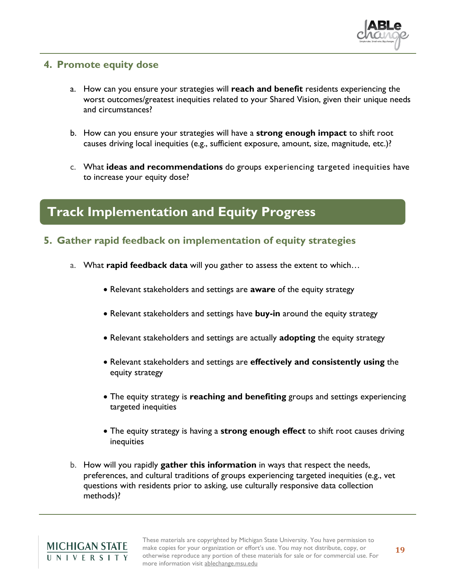

#### **4. Promote equity dose**

- a. How can you ensure your strategies will **reach and benefit** residents experiencing the worst outcomes/greatest inequities related to your Shared Vision, given their unique needs and circumstances?
- b. How can you ensure your strategies will have a **strong enough impact** to shift root causes driving local inequities (e.g., sufficient exposure, amount, size, magnitude, etc.)?
- c. What **ideas and recommendations** do groups experiencing targeted inequities have to increase your equity dose?

### **Track Implementation and Equity Progress**

- **5. Gather rapid feedback on implementation of equity strategies**
	- a. What **rapid feedback data** will you gather to assess the extent to which…
		- Relevant stakeholders and settings are **aware** of the equity strategy
		- Relevant stakeholders and settings have **buy-in** around the equity strategy
		- Relevant stakeholders and settings are actually **adopting** the equity strategy
		- Relevant stakeholders and settings are **effectively and consistently using** the equity strategy
		- The equity strategy is **reaching and benefiting** groups and settings experiencing targeted inequities
		- The equity strategy is having a **strong enough effect** to shift root causes driving inequities
	- b. How will you rapidly **gather this information** in ways that respect the needs, preferences, and cultural traditions of groups experiencing targeted inequities (e.g., vet questions with residents prior to asking, use culturally responsive data collection methods)?

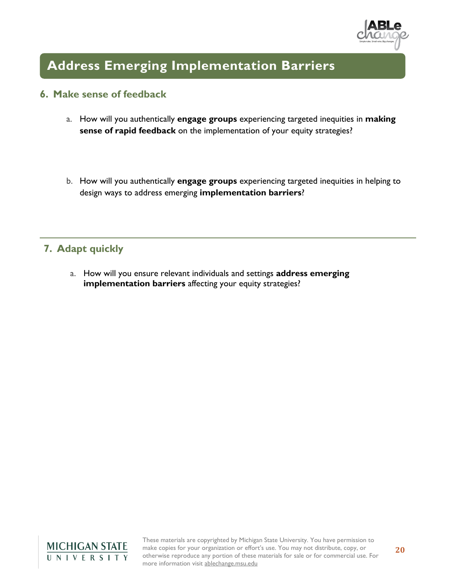

# **Address Emerging Implementation Barriers**

#### **6. Make sense of feedback**

- a. How will you authentically **engage groups** experiencing targeted inequities in **making sense of rapid feedback** on the implementation of your equity strategies?
- b. How will you authentically **engage groups** experiencing targeted inequities in helping to design ways to address emerging **implementation barriers**?

### **7. Adapt quickly**

a. How will you ensure relevant individuals and settings **address emerging implementation barriers** affecting your equity strategies?

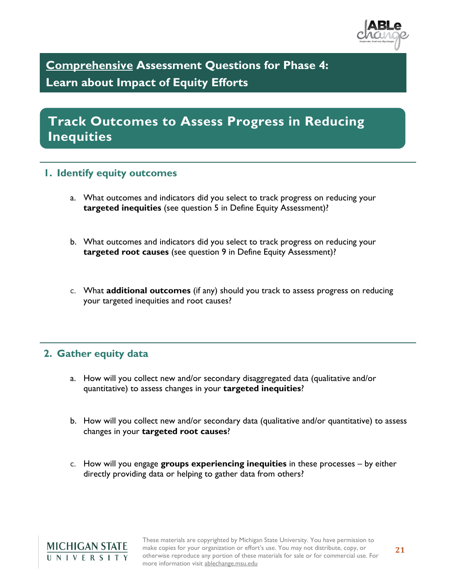

**Comprehensive Assessment Questions for Phase 4: Learn about Impact of Equity Efforts**

**Track Outcomes to Assess Progress in Reducing Inequities** 

#### **1. Identify equity outcomes**

- a. What outcomes and indicators did you select to track progress on reducing your **targeted inequities** (see question 5 in Define Equity Assessment)?
- b. What outcomes and indicators did you select to track progress on reducing your **targeted root causes** (see question 9 in Define Equity Assessment)?
- c. What **additional outcomes** (if any) should you track to assess progress on reducing your targeted inequities and root causes?

#### **2. Gather equity data**

- a. How will you collect new and/or secondary disaggregated data (qualitative and/or quantitative) to assess changes in your **targeted inequities**?
- b. How will you collect new and/or secondary data (qualitative and/or quantitative) to assess changes in your **targeted root causes**?
- c. How will you engage **groups experiencing inequities** in these processes by either directly providing data or helping to gather data from others?

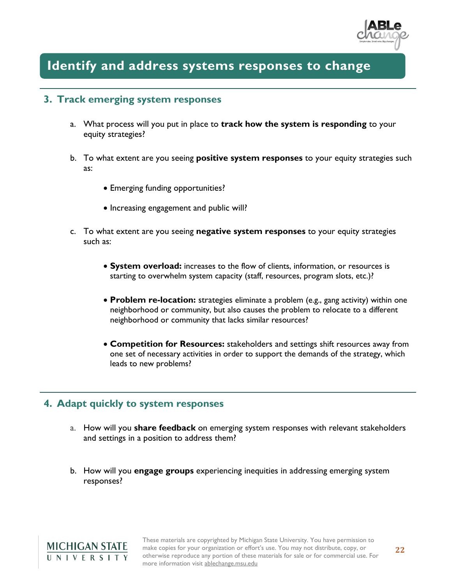

### **Identify and address systems responses to change**

#### **3. Track emerging system responses**

- a. What process will you put in place to **track how the system is responding** to your equity strategies?
- b. To what extent are you seeing **positive system responses** to your equity strategies such as:
	- Emerging funding opportunities?
	- Increasing engagement and public will?
- c. To what extent are you seeing **negative system responses** to your equity strategies such as:
	- **System overload:** increases to the flow of clients, information, or resources is starting to overwhelm system capacity (staff, resources, program slots, etc.)?
	- **Problem re-location:** strategies eliminate a problem (e.g., gang activity) within one neighborhood or community, but also causes the problem to relocate to a different neighborhood or community that lacks similar resources?
	- **Competition for Resources:** stakeholders and settings shift resources away from one set of necessary activities in order to support the demands of the strategy, which leads to new problems?

#### **4. Adapt quickly to system responses**

- a. How will you **share feedback** on emerging system responses with relevant stakeholders and settings in a position to address them?
- b. How will you **engage groups** experiencing inequities in addressing emerging system responses?

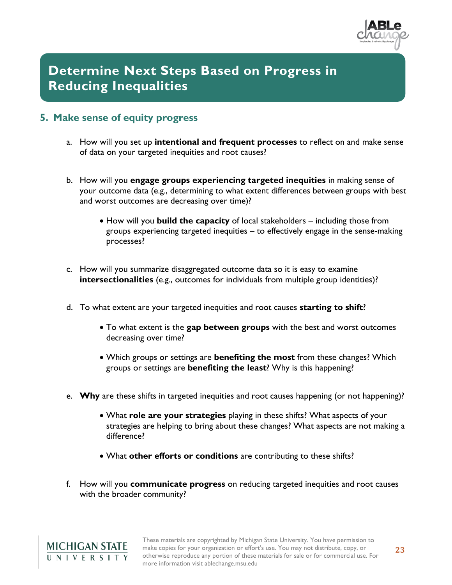

# **Determine Next Steps Based on Progress in Reducing Inequalities**

### **5. Make sense of equity progress**

- a. How will you set up **intentional and frequent processes** to reflect on and make sense of data on your targeted inequities and root causes?
- b. How will you **engage groups experiencing targeted inequities** in making sense of your outcome data (e.g., determining to what extent differences between groups with best and worst outcomes are decreasing over time)?
	- How will you **build the capacity** of local stakeholders including those from groups experiencing targeted inequities – to effectively engage in the sense-making processes?
- c. How will you summarize disaggregated outcome data so it is easy to examine **intersectionalities** (e.g., outcomes for individuals from multiple group identities)?
- d. To what extent are your targeted inequities and root causes **starting to shift**?
	- To what extent is the **gap between groups** with the best and worst outcomes decreasing over time?
	- Which groups or settings are **benefiting the most** from these changes? Which groups or settings are **benefiting the least**? Why is this happening?
- e. **Why** are these shifts in targeted inequities and root causes happening (or not happening)?
	- What **role are your strategies** playing in these shifts? What aspects of your strategies are helping to bring about these changes? What aspects are not making a difference?
	- What **other efforts or conditions** are contributing to these shifts?
- f. How will you **communicate progress** on reducing targeted inequities and root causes with the broader community?